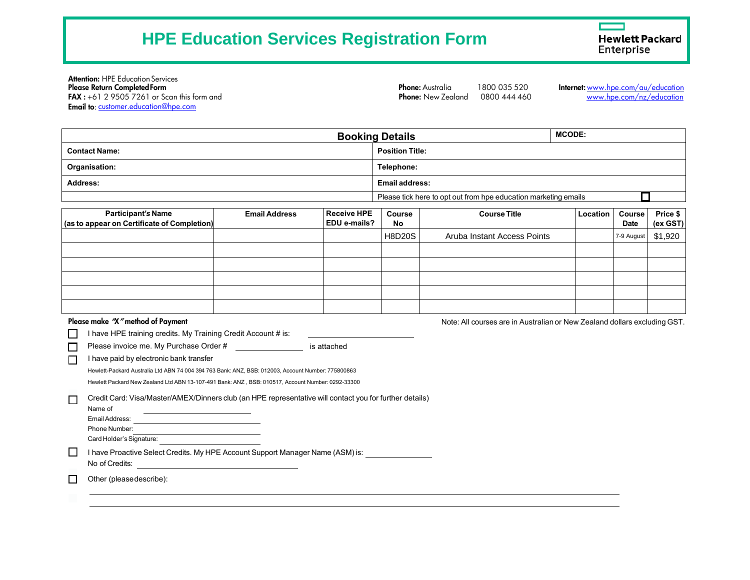# **HPE Education Services Registration Form**

**Hewlett Packard** Enterprise

Attention: HPE Education Services<br>Please Return Completed Form FAX : +61 2 9505 7261 or Scan this form and Email to[: customer.education@hpe.com](mailto:customer.education@hpe.com)

**Phone:** New Zealand  $0800444460$ 

Phone: Australia 1800 035 520 Internet: [www.hpe.com/au/education](http://www.hpe.com/au/education)<br>Phone: New Zealand 0800 444 460 www.hpe.com/nz/education

| <b>Booking Details</b>                      |                      |                    |                        |                                                                 | <b>MCODE:</b> |             |          |  |
|---------------------------------------------|----------------------|--------------------|------------------------|-----------------------------------------------------------------|---------------|-------------|----------|--|
| <b>Contact Name:</b>                        |                      |                    | <b>Position Title:</b> |                                                                 |               |             |          |  |
| Organisation:                               |                      |                    |                        | Telephone:                                                      |               |             |          |  |
| Address:                                    |                      |                    | <b>Email address:</b>  |                                                                 |               |             |          |  |
|                                             |                      |                    |                        | Please tick here to opt out from hpe education marketing emails |               |             |          |  |
| <b>Participant's Name</b>                   | <b>Email Address</b> | <b>Receive HPE</b> | Course                 | <b>Course Title</b>                                             | Location      | Course      | Price \$ |  |
| (as to appear on Certificate of Completion) |                      | EDU e-mails?       | No                     |                                                                 |               | <b>Date</b> | (ex GST) |  |
|                                             |                      |                    | <b>H8D20S</b>          | Aruba Instant Access Points                                     |               | 7-9 August  | \$1,920  |  |
|                                             |                      |                    |                        |                                                                 |               |             |          |  |
|                                             |                      |                    |                        |                                                                 |               |             |          |  |
|                                             |                      |                    |                        |                                                                 |               |             |          |  |

Please make "X" method of Payment Note: All courses are in Australian or New Zealand dollars excluding GST.

| I have HPE training credits. My Training Credit Account # is: |             |
|---------------------------------------------------------------|-------------|
| Please invoice me. My Purchase Order #                        | is attached |

I have paid by electronic bank transfer  $\Box$ 

Hewlett-Packard Australia Ltd ABN 74 004 394 763 Bank: ANZ, BSB: 012003, Account Number: 775800863

Hewlett Packard New Zealand Ltd ABN 13-107-491 Bank: ANZ , BSB: 010517, Account Number: 0292-33300

| Name of        |  |
|----------------|--|
| Email Address: |  |
| Phone Number:  |  |

Card Holder's Signature:

I have Proactive Select Credits. My HPE Account Support Manager Name (ASM) is:

No of Credits:

 $\Box$ Other (pleasedescribe):